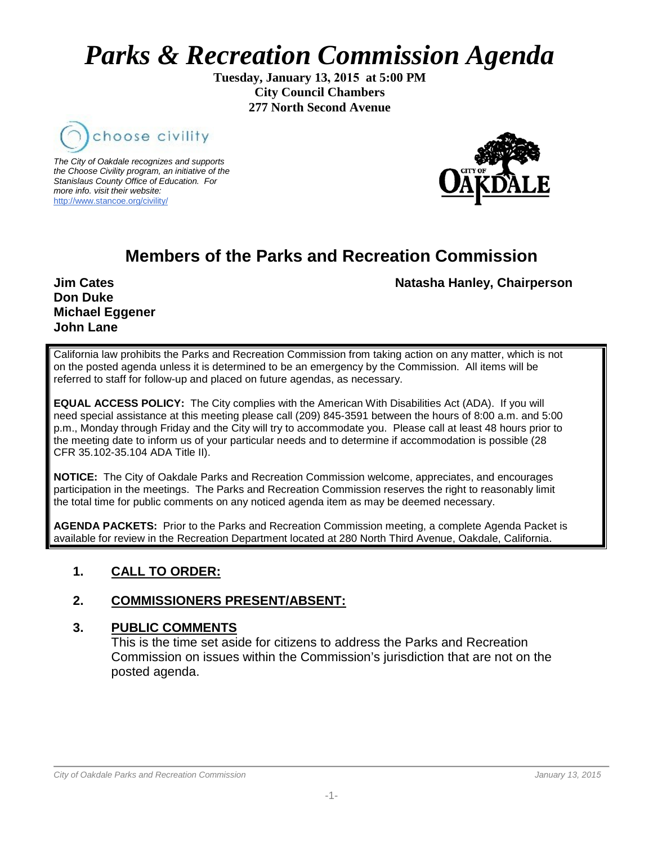# *Parks & Recreation Commission Agenda*

**Tuesday, January 13, 2015 at 5:00 PM City Council Chambers 277 North Second Avenue**



*The City of Oakdale recognizes and supports the Choose Civility program, an initiative of the Stanislaus County Office of Education. For more info. visit their website:* [http://www.stancoe.org/civility/](http://links.schoolloop.com/link/rd?href=736c5f6c696e6b6666303163633065623266687474703a2f2f7777772e7374616e636f652e6f72672f636976696c6974792f)



# **Members of the Parks and Recreation Commission**

**Don Duke Michael Eggener John Lane**

**Jim Cates** Natasha Hanley, Chairperson

California law prohibits the Parks and Recreation Commission from taking action on any matter, which is not on the posted agenda unless it is determined to be an emergency by the Commission. All items will be referred to staff for follow-up and placed on future agendas, as necessary.

**EQUAL ACCESS POLICY:** The City complies with the American With Disabilities Act (ADA). If you will need special assistance at this meeting please call (209) 845-3591 between the hours of 8:00 a.m. and 5:00 p.m., Monday through Friday and the City will try to accommodate you. Please call at least 48 hours prior to the meeting date to inform us of your particular needs and to determine if accommodation is possible (28 CFR 35.102-35.104 ADA Title II).

**NOTICE:** The City of Oakdale Parks and Recreation Commission welcome, appreciates, and encourages participation in the meetings. The Parks and Recreation Commission reserves the right to reasonably limit the total time for public comments on any noticed agenda item as may be deemed necessary.

**AGENDA PACKETS:** Prior to the Parks and Recreation Commission meeting, a complete Agenda Packet is available for review in the Recreation Department located at 280 North Third Avenue, Oakdale, California.

# **1. CALL TO ORDER:**

# **2. COMMISSIONERS PRESENT/ABSENT:**

#### **3. PUBLIC COMMENTS**

This is the time set aside for citizens to address the Parks and Recreation Commission on issues within the Commission's jurisdiction that are not on the posted agenda.